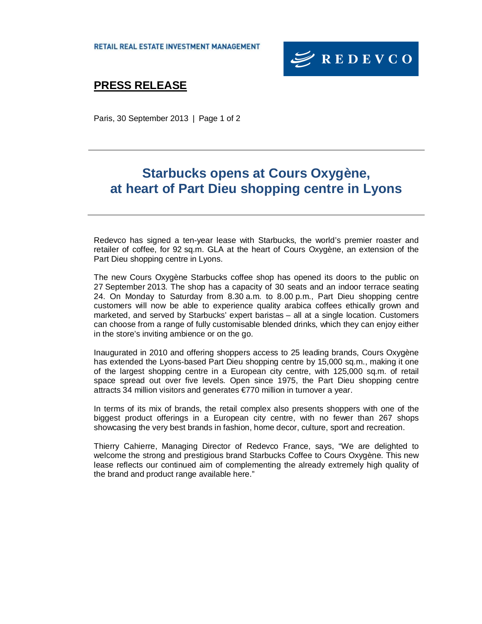

# **PRESS RELEASE**

Paris, 30 September 2013 | Page 1 of 2

# **Starbucks opens at Cours Oxygène, at heart of Part Dieu shopping centre in Lyons**

Redevco has signed a ten-year lease with Starbucks, the world's premier roaster and retailer of coffee, for 92 sq.m. GLA at the heart of Cours Oxygène, an extension of the Part Dieu shopping centre in Lyons.

The new Cours Oxygène Starbucks coffee shop has opened its doors to the public on 27 September 2013. The shop has a capacity of 30 seats and an indoor terrace seating 24. On Monday to Saturday from 8.30 a.m. to 8.00 p.m., Part Dieu shopping centre customers will now be able to experience quality arabica coffees ethically grown and marketed, and served by Starbucks' expert baristas – all at a single location. Customers can choose from a range of fully customisable blended drinks, which they can enjoy either in the store's inviting ambience or on the go.

Inaugurated in 2010 and offering shoppers access to 25 leading brands, Cours Oxygène has extended the Lyons-based Part Dieu shopping centre by 15,000 sq.m., making it one of the largest shopping centre in a European city centre, with 125,000 sq.m. of retail space spread out over five levels. Open since 1975, the Part Dieu shopping centre attracts 34 million visitors and generates €770 million in turnover a year.

In terms of its mix of brands, the retail complex also presents shoppers with one of the biggest product offerings in a European city centre, with no fewer than 267 shops showcasing the very best brands in fashion, home decor, culture, sport and recreation.

Thierry Cahierre, Managing Director of Redevco France, says, "We are delighted to welcome the strong and prestigious brand Starbucks Coffee to Cours Oxygène. This new lease reflects our continued aim of complementing the already extremely high quality of the brand and product range available here."